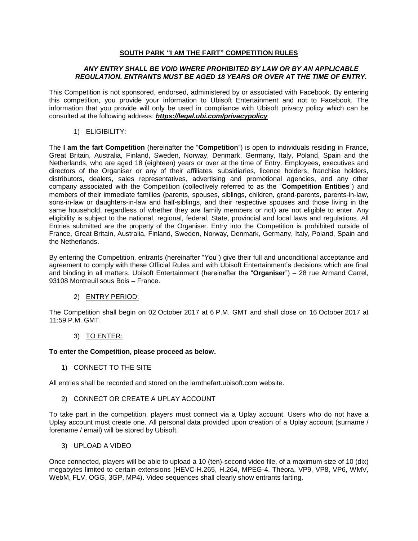# **SOUTH PARK "I AM THE FART" COMPETITION RULES**

### *ANY ENTRY SHALL BE VOID WHERE PROHIBITED BY LAW OR BY AN APPLICABLE REGULATION. ENTRANTS MUST BE AGED 18 YEARS OR OVER AT THE TIME OF ENTRY.*

This Competition is not sponsored, endorsed, administered by or associated with Facebook. By entering this competition, you provide your information to Ubisoft Entertainment and not to Facebook. The information that you provide will only be used in compliance with Ubisoft privacy policy which can be consulted at the following address: *<https://legal.ubi.com/privacypolicy>*

1) ELIGIBILITY:

The **I am the fart Competition** (hereinafter the "**Competition**") is open to individuals residing in France, Great Britain, Australia, Finland, Sweden, Norway, Denmark, Germany, Italy, Poland, Spain and the Netherlands, who are aged 18 (eighteen) years or over at the time of Entry. Employees, executives and directors of the Organiser or any of their affiliates, subsidiaries, licence holders, franchise holders, distributors, dealers, sales representatives, advertising and promotional agencies, and any other company associated with the Competition (collectively referred to as the "**Competition Entities**") and members of their immediate families (parents, spouses, siblings, children, grand-parents, parents-in-law, sons-in-law or daughters-in-law and half-siblings, and their respective spouses and those living in the same household, regardless of whether they are family members or not) are not eligible to enter. Any eligibility is subject to the national, regional, federal, State, provincial and local laws and regulations. All Entries submitted are the property of the Organiser. Entry into the Competition is prohibited outside of France, Great Britain, Australia, Finland, Sweden, Norway, Denmark, Germany, Italy, Poland, Spain and the Netherlands.

By entering the Competition, entrants (hereinafter "You") give their full and unconditional acceptance and agreement to comply with these Official Rules and with Ubisoft Entertainment's decisions which are final and binding in all matters. Ubisoft Entertainment (hereinafter the "**Organiser**") – 28 rue Armand Carrel, 93108 Montreuil sous Bois – France.

# 2) ENTRY PERIOD:

The Competition shall begin on 02 October 2017 at 6 P.M. GMT and shall close on 16 October 2017 at 11:59 P.M. GMT.

### 3) TO ENTER:

### **To enter the Competition, please proceed as below.**

1) CONNECT TO THE SITE

All entries shall be recorded and stored on the iamthefart.ubisoft.com website.

2) CONNECT OR CREATE A UPLAY ACCOUNT

To take part in the competition, players must connect via a Uplay account. Users who do not have a Uplay account must create one. All personal data provided upon creation of a Uplay account (surname / forename / email) will be stored by Ubisoft.

3) UPLOAD A VIDEO

Once connected, players will be able to upload a 10 (ten)-second video file, of a maximum size of 10 (dix) megabytes limited to certain extensions (HEVC-H.265, H.264, MPEG-4, Théora, VP9, VP8, VP6, WMV, WebM, FLV, OGG, 3GP, MP4). Video sequences shall clearly show entrants farting.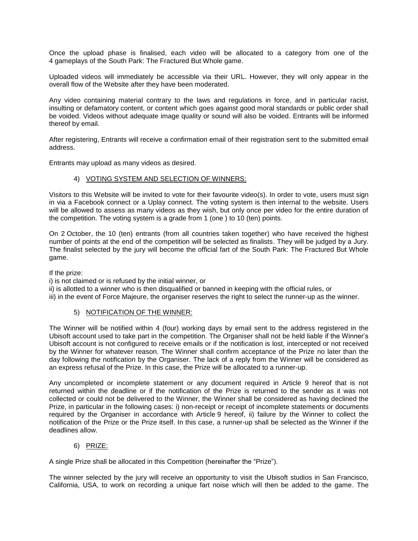Once the upload phase is finalised, each video will be allocated to a category from one of the 4 gameplays of the South Park: The Fractured But Whole game.

Uploaded videos will immediately be accessible via their URL. However, they will only appear in the overall flow of the Website after they have been moderated.

Any video containing material contrary to the laws and regulations in force, and in particular racist, insulting or defamatory content, or content which goes against good moral standards or public order shall be voided. Videos without adequate image quality or sound will also be voided. Entrants will be informed thereof by email.

After registering, Entrants will receive a confirmation email of their registration sent to the submitted email address.

Entrants may upload as many videos as desired.

#### 4) VOTING SYSTEM AND SELECTION OF WINNERS:

Visitors to this Website will be invited to vote for their favourite video(s). In order to vote, users must sign in via a Facebook connect or a Uplay connect. The voting system is then internal to the website. Users will be allowed to assess as many videos as they wish, but only once per video for the entire duration of the competition. The voting system is a grade from 1 (one ) to 10 (ten) points.

On 2 October, the 10 (ten) entrants (from all countries taken together) who have received the highest number of points at the end of the competition will be selected as finalists. They will be judged by a Jury. The finalist selected by the jury will become the official fart of the South Park: The Fractured But Whole game.

If the prize:

i) is not claimed or is refused by the initial winner, or

ii) is allotted to a winner who is then disqualified or banned in keeping with the official rules, or

iii) in the event of Force Majeure, the organiser reserves the right to select the runner-up as the winner.

### 5) NOTIFICATION OF THE WINNER:

The Winner will be notified within 4 (four) working days by email sent to the address registered in the Ubisoft account used to take part in the competition. The Organiser shall not be held liable if the Winner's Ubisoft account is not configured to receive emails or if the notification is lost, intercepted or not received by the Winner for whatever reason. The Winner shall confirm acceptance of the Prize no later than the day following the notification by the Organiser. The lack of a reply from the Winner will be considered as an express refusal of the Prize. In this case, the Prize will be allocated to a runner-up.

Any uncompleted or incomplete statement or any document required in Article 9 hereof that is not returned within the deadline or if the notification of the Prize is returned to the sender as it was not collected or could not be delivered to the Winner, the Winner shall be considered as having declined the Prize, in particular in the following cases: i) non-receipt or receipt of incomplete statements or documents required by the Organiser in accordance with Article 9 hereof, ii) failure by the Winner to collect the notification of the Prize or the Prize itself. In this case, a runner-up shall be selected as the Winner if the deadlines allow.

### 6) PRIZE:

A single Prize shall be allocated in this Competition (hereinafter the "Prize").

The winner selected by the jury will receive an opportunity to visit the Ubisoft studios in San Francisco, California, USA, to work on recording a unique fart noise which will then be added to the game. The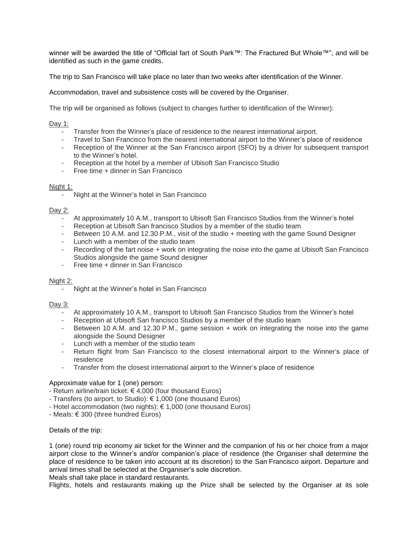winner will be awarded the title of "Official fart of South Park™: The Fractured But Whole™", and will be identified as such in the game credits.

The trip to San Francisco will take place no later than two weeks after identification of the Winner.

Accommodation, travel and subsistence costs will be covered by the Organiser.

The trip will be organised as follows (subject to changes further to identification of the Winner):

# Day 1:

- Transfer from the Winner's place of residence to the nearest international airport.
- Travel to San Francisco from the nearest international airport to the Winner's place of residence
- Reception of the Winner at the San Francisco airport (SFO) by a driver for subsequent transport to the Winner's hotel.
- Reception at the hotel by a member of Ubisoft San Francisco Studio
- Free time + dinner in San Francisco

### Night 1:

- Night at the Winner's hotel in San Francisco

# Day 2:

- At approximately 10 A.M., transport to Ubisoft San Francisco Studios from the Winner's hotel
- Reception at Ubisoft San francisco Studios by a member of the studio team
- Between 10 A.M. and 12.30 P.M., visit of the studio + meeting with the game Sound Designer
- Lunch with a member of the studio team
- Recording of the fart noise + work on integrating the noise into the game at Ubisoft San Francisco Studios alongside the game Sound designer
- Free time + dinner in San Francisco

### Night 2:

- Night at the Winner's hotel in San Francisco

### Day  $3:$

- At approximately 10 A.M., transport to Ubisoft San Francisco Studios from the Winner's hotel
- Reception at Ubisoft San francisco Studios by a member of the studio team
- Between 10 A.M. and 12.30 P.M., game session + work on integrating the noise into the game alongside the Sound Designer
- Lunch with a member of the studio team
- Return flight from San Francisco to the closest international airport to the Winner's place of residence
- Transfer from the closest international airport to the Winner's place of residence

# Approximate value for 1 (one) person:

- Return airline/train ticket:  $\epsilon$  4,000 (four thousand Euros)
- Transfers (to airport, to Studio): € 1,000 (one thousand Euros)
- Hotel accommodation (two nights): € 1,000 (one thousand Euros)
- Meals: € 300 (three hundred Euros)

Details of the trip:

1 (one) round trip economy air ticket for the Winner and the companion of his or her choice from a major airport close to the Winner's and/or companion's place of residence (the Organiser shall determine the place of residence to be taken into account at its discretion) to the San Francisco airport. Departure and arrival times shall be selected at the Organiser's sole discretion.

Meals shall take place in standard restaurants.

Flights, hotels and restaurants making up the Prize shall be selected by the Organiser at its sole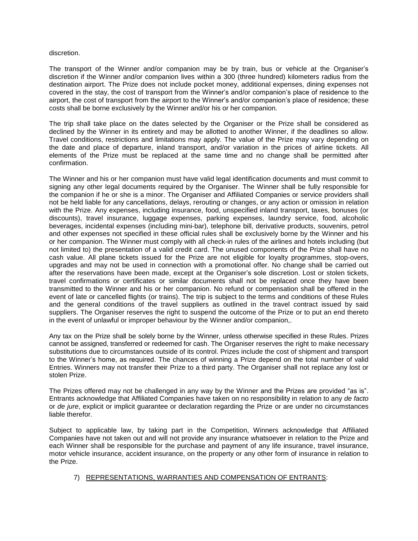#### discretion.

The transport of the Winner and/or companion may be by train, bus or vehicle at the Organiser's discretion if the Winner and/or companion lives within a 300 (three hundred) kilometers radius from the destination airport. The Prize does not include pocket money, additional expenses, dining expenses not covered in the stay, the cost of transport from the Winner's and/or companion's place of residence to the airport, the cost of transport from the airport to the Winner's and/or companion's place of residence; these costs shall be borne exclusively by the Winner and/or his or her companion.

The trip shall take place on the dates selected by the Organiser or the Prize shall be considered as declined by the Winner in its entirety and may be allotted to another Winner, if the deadlines so allow. Travel conditions, restrictions and limitations may apply. The value of the Prize may vary depending on the date and place of departure, inland transport, and/or variation in the prices of airline tickets. All elements of the Prize must be replaced at the same time and no change shall be permitted after confirmation.

The Winner and his or her companion must have valid legal identification documents and must commit to signing any other legal documents required by the Organiser. The Winner shall be fully responsible for the companion if he or she is a minor. The Organiser and Affiliated Companies or service providers shall not be held liable for any cancellations, delays, rerouting or changes, or any action or omission in relation with the Prize. Any expenses, including insurance, food, unspecified inland transport, taxes, bonuses (or discounts), travel insurance, luggage expenses, parking expenses, laundry service, food, alcoholic beverages, incidental expenses (including mini-bar), telephone bill, derivative products, souvenirs, petrol and other expenses not specified in these official rules shall be exclusively borne by the Winner and his or her companion. The Winner must comply with all check-in rules of the airlines and hotels including (but not limited to) the presentation of a valid credit card. The unused components of the Prize shall have no cash value. All plane tickets issued for the Prize are not eligible for loyalty programmes, stop-overs, upgrades and may not be used in connection with a promotional offer. No change shall be carried out after the reservations have been made, except at the Organiser's sole discretion. Lost or stolen tickets, travel confirmations or certificates or similar documents shall not be replaced once they have been transmitted to the Winner and his or her companion. No refund or compensation shall be offered in the event of late or cancelled flights (or trains). The trip is subject to the terms and conditions of these Rules and the general conditions of the travel suppliers as outlined in the travel contract issued by said suppliers. The Organiser reserves the right to suspend the outcome of the Prize or to put an end thereto in the event of unlawful or improper behaviour by the Winner and/or companion,.

Any tax on the Prize shall be solely borne by the Winner, unless otherwise specified in these Rules. Prizes cannot be assigned, transferred or redeemed for cash. The Organiser reserves the right to make necessary substitutions due to circumstances outside of its control. Prizes include the cost of shipment and transport to the Winner's home, as required. The chances of winning a Prize depend on the total number of valid Entries. Winners may not transfer their Prize to a third party. The Organiser shall not replace any lost or stolen Prize.

The Prizes offered may not be challenged in any way by the Winner and the Prizes are provided "as is". Entrants acknowledge that Affiliated Companies have taken on no responsibility in relation to any *de facto* or *de jure*, explicit or implicit guarantee or declaration regarding the Prize or are under no circumstances liable therefor.

Subject to applicable law, by taking part in the Competition, Winners acknowledge that Affiliated Companies have not taken out and will not provide any insurance whatsoever in relation to the Prize and each Winner shall be responsible for the purchase and payment of any life insurance, travel insurance, motor vehicle insurance, accident insurance, on the property or any other form of insurance in relation to the Prize.

## 7) REPRESENTATIONS, WARRANTIES AND COMPENSATION OF ENTRANTS: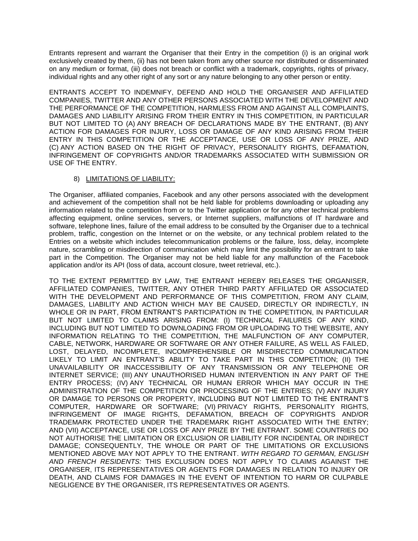Entrants represent and warrant the Organiser that their Entry in the competition (i) is an original work exclusively created by them, (ii) has not been taken from any other source nor distributed or disseminated on any medium or format, (iii) does not breach or conflict with a trademark, copyrights, rights of privacy, individual rights and any other right of any sort or any nature belonging to any other person or entity.

ENTRANTS ACCEPT TO INDEMNIFY, DEFEND AND HOLD THE ORGANISER AND AFFILIATED COMPANIES, TWITTER AND ANY OTHER PERSONS ASSOCIATED WITH THE DEVELOPMENT AND THE PERFORMANCE OF THE COMPETITION, HARMLESS FROM AND AGAINST ALL COMPLAINTS, DAMAGES AND LIABILITY ARISING FROM THEIR ENTRY IN THIS COMPETITION, IN PARTICULAR BUT NOT LIMITED TO (A) ANY BREACH OF DECLARATIONS MADE BY THE ENTRANT, (B) ANY ACTION FOR DAMAGES FOR INJURY, LOSS OR DAMAGE OF ANY KIND ARISING FROM THEIR ENTRY IN THIS COMPETITION OR THE ACCEPTANCE, USE OR LOSS OF ANY PRIZE, AND (C) ANY ACTION BASED ON THE RIGHT OF PRIVACY, PERSONALITY RIGHTS, DEFAMATION, INFRINGEMENT OF COPYRIGHTS AND/OR TRADEMARKS ASSOCIATED WITH SUBMISSION OR USE OF THE ENTRY.

8) LIMITATIONS OF LIABILITY:

The Organiser, affiliated companies, Facebook and any other persons associated with the development and achievement of the competition shall not be held liable for problems downloading or uploading any information related to the competition from or to the Twitter application or for any other technical problems affecting equipment, online services, servers, or Internet suppliers, malfunctions of IT hardware and software, telephone lines, failure of the email address to be consulted by the Organiser due to a technical problem, traffic, congestion on the Internet or on the website, or any technical problem related to the Entries on a website which includes telecommunication problems or the failure, loss, delay, incomplete nature, scrambling or misdirection of communication which may limit the possibility for an entrant to take part in the Competition. The Organiser may not be held liable for any malfunction of the Facebook application and/or its API (loss of data, account closure, tweet retrieval, etc.).

TO THE EXTENT PERMITTED BY LAW, THE ENTRANT HEREBY RELEASES THE ORGANISER, AFFILIATED COMPANIES, TWITTER, ANY OTHER THIRD PARTY AFFILIATED OR ASSOCIATED WITH THE DEVELOPMENT AND PERFORMANCE OF THIS COMPETITION, FROM ANY CLAIM, DAMAGES, LIABILITY AND ACTION WHICH MAY BE CAUSED, DIRECTLY OR INDIRECTLY, IN WHOLE OR IN PART, FROM ENTRANT'S PARTICIPATION IN THE COMPETITION, IN PARTICULAR BUT NOT LIMITED TO CLAIMS ARISING FROM: (I) TECHNICAL FAILURES OF ANY KIND, INCLUDING BUT NOT LIMITED TO DOWNLOADING FROM OR UPLOADING TO THE WEBSITE, ANY INFORMATION RELATING TO THE COMPETITION, THE MALFUNCTION OF ANY COMPUTER, CABLE, NETWORK, HARDWARE OR SOFTWARE OR ANY OTHER FAILURE, AS WELL AS FAILED, LOST, DELAYED, INCOMPLETE, INCOMPREHENSIBLE OR MISDIRECTED COMMUNICATION LIKELY TO LIMIT AN ENTRANT'S ABILITY TO TAKE PART IN THIS COMPETITION; (II) THE UNAVAILABILITY OR INACCESSIBILITY OF ANY TRANSMISSION OR ANY TELEPHONE OR INTERNET SERVICE; (III) ANY UNAUTHORISED HUMAN INTERVENTION IN ANY PART OF THE ENTRY PROCESS; (IV) ANY TECHNICAL OR HUMAN ERROR WHICH MAY OCCUR IN THE ADMINISTRATION OF THE COMPETITION OR PROCESSING OF THE ENTRIES; (V) ANY INJURY OR DAMAGE TO PERSONS OR PROPERTY, INCLUDING BUT NOT LIMITED TO THE ENTRANT'S COMPUTER, HARDWARE OR SOFTWARE; (VI) PRIVACY RIGHTS, PERSONALITY RIGHTS, INFRINGEMENT OF IMAGE RIGHTS, DEFAMATION, BREACH OF COPYRIGHTS AND/OR TRADEMARK PROTECTED UNDER THE TRADEMARK RIGHT ASSOCIATED WITH THE ENTRY; AND (VII) ACCEPTANCE, USE OR LOSS OF ANY PRIZE BY THE ENTRANT. SOME COUNTRIES DO NOT AUTHORISE THE LIMITATION OR EXCLUSION OR LIABILITY FOR INCIDENTAL OR INDIRECT DAMAGE; CONSEQUENTLY, THE WHOLE OR PART OF THE LIMITATIONS OR EXCLUSIONS MENTIONED ABOVE MAY NOT APPLY TO THE ENTRANT. *WITH REGARD TO GERMAN, ENGLISH AND FRENCH RESIDENTS:* THIS EXCLUSION DOES NOT APPLY TO CLAIMS AGAINST THE ORGANISER, ITS REPRESENTATIVES OR AGENTS FOR DAMAGES IN RELATION TO INJURY OR DEATH, AND CLAIMS FOR DAMAGES IN THE EVENT OF INTENTION TO HARM OR CULPABLE NEGLIGENCE BY THE ORGANISER, ITS REPRESENTATIVES OR AGENTS.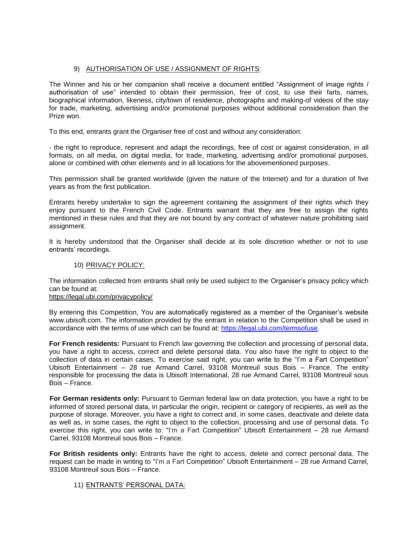# 9) AUTHORISATION OF USE / ASSIGNMENT OF RIGHTS:

The Winner and his or her companion shall receive a document entitled "Assignment of image rights / authorisation of use" intended to obtain their permission, free of cost, to use their farts, names, biographical information, likeness, city/town of residence, photographs and making-of videos of the stay for trade, marketing, advertising and/or promotional purposes without additional consideration than the Prize won.

To this end, entrants grant the Organiser free of cost and without any consideration:

- the right to reproduce, represent and adapt the recordings, free of cost or against consideration, in all formats, on all media, on digital media, for trade, marketing, advertising and/or promotional purposes, alone or combined with other elements and in all locations for the abovementioned purposes.

This permission shall be granted worldwide (given the nature of the Internet) and for a duration of five years as from the first publication.

Entrants hereby undertake to sign the agreement containing the assignment of their rights which they enjoy pursuant to the French Civil Code. Entrants warrant that they are free to assign the rights mentioned in these rules and that they are not bound by any contract of whatever nature prohibiting said assignment.

It is hereby understood that the Organiser shall decide at its sole discretion whether or not to use entrants' recordings.

## 10) PRIVACY POLICY:

The information collected from entrants shall only be used subject to the Organiser's privacy policy which can be found at:

# <https://legal.ubi.com/privacypolicy/>

By entering this Competition, You are automatically registered as a member of the Organiser's website www.ubisoft.com. The information provided by the entrant in relation to the Competition shall be used in accordance with the terms of use which can be found at: [https://legal.ubi.com/termsofuse.](https://legal.ubi.com/termsofuse)

**For French residents:** Pursuant to French law governing the collection and processing of personal data, you have a right to access, correct and delete personal data. You also have the right to object to the collection of data in certain cases. To exercise said right, you can write to the "I'm a Fart Competition" Ubisoft Entertainment – 28 rue Armand Carrel, 93108 Montreuil sous Bois – France. The entity responsible for processing the data is Ubisoft International, 28 rue Armand Carrel, 93108 Montreuil sous Bois – France.

**For German residents only:** Pursuant to German federal law on data protection, you have a right to be informed of stored personal data, in particular the origin, recipient or category of recipients, as well as the purpose of storage. Moreover, you have a right to correct and, in some cases, deactivate and delete data as well as, in some cases, the right to object to the collection, processing and use of personal data. To exercise this right, you can write to: "I'm a Fart Competition" Ubisoft Entertainment – 28 rue Armand Carrel, 93108 Montreuil sous Bois – France.

**For British residents only:** Entrants have the right to access, delete and correct personal data. The request can be made in writing to "I'm a Fart Competition" Ubisoft Entertainment – 28 rue Armand Carrel, 93108 Montreuil sous Bois – France.

### 11) ENTRANTS' PERSONAL DATA: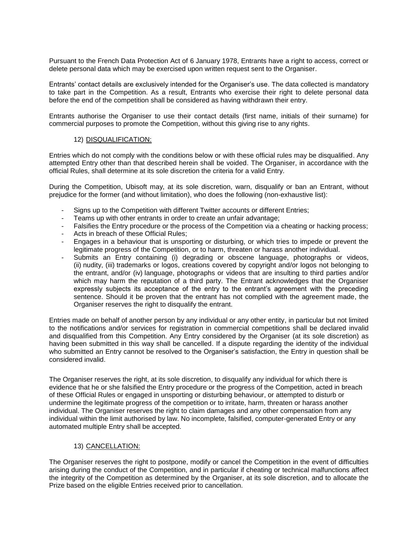Pursuant to the French Data Protection Act of 6 January 1978, Entrants have a right to access, correct or delete personal data which may be exercised upon written request sent to the Organiser.

Entrants' contact details are exclusively intended for the Organiser's use. The data collected is mandatory to take part in the Competition. As a result, Entrants who exercise their right to delete personal data before the end of the competition shall be considered as having withdrawn their entry.

Entrants authorise the Organiser to use their contact details (first name, initials of their surname) for commercial purposes to promote the Competition, without this giving rise to any rights.

### 12) DISQUALIFICATION:

Entries which do not comply with the conditions below or with these official rules may be disqualified. Any attempted Entry other than that described herein shall be voided. The Organiser, in accordance with the official Rules, shall determine at its sole discretion the criteria for a valid Entry.

During the Competition, Ubisoft may, at its sole discretion, warn, disqualify or ban an Entrant, without prejudice for the former (and without limitation), who does the following (non-exhaustive list):

- Signs up to the Competition with different Twitter accounts or different Entries;
- Teams up with other entrants in order to create an unfair advantage;
- Falsifies the Entry procedure or the process of the Competition via a cheating or hacking process;
- Acts in breach of these Official Rules;
- Engages in a behaviour that is unsporting or disturbing, or which tries to impede or prevent the legitimate progress of the Competition, or to harm, threaten or harass another individual.
- Submits an Entry containing (i) degrading or obscene language, photographs or videos, (ii) nudity, (iii) trademarks or logos, creations covered by copyright and/or logos not belonging to the entrant, and/or (iv) language, photographs or videos that are insulting to third parties and/or which may harm the reputation of a third party. The Entrant acknowledges that the Organiser expressly subjects its acceptance of the entry to the entrant's agreement with the preceding sentence. Should it be proven that the entrant has not complied with the agreement made, the Organiser reserves the right to disqualify the entrant.

Entries made on behalf of another person by any individual or any other entity, in particular but not limited to the notifications and/or services for registration in commercial competitions shall be declared invalid and disqualified from this Competition. Any Entry considered by the Organiser (at its sole discretion) as having been submitted in this way shall be cancelled. If a dispute regarding the identity of the individual who submitted an Entry cannot be resolved to the Organiser's satisfaction, the Entry in question shall be considered invalid.

The Organiser reserves the right, at its sole discretion, to disqualify any individual for which there is evidence that he or she falsified the Entry procedure or the progress of the Competition, acted in breach of these Official Rules or engaged in unsporting or disturbing behaviour, or attempted to disturb or undermine the legitimate progress of the competition or to irritate, harm, threaten or harass another individual. The Organiser reserves the right to claim damages and any other compensation from any individual within the limit authorised by law. No incomplete, falsified, computer-generated Entry or any automated multiple Entry shall be accepted.

### 13) CANCELLATION:

The Organiser reserves the right to postpone, modify or cancel the Competition in the event of difficulties arising during the conduct of the Competition, and in particular if cheating or technical malfunctions affect the integrity of the Competition as determined by the Organiser, at its sole discretion, and to allocate the Prize based on the eligible Entries received prior to cancellation.